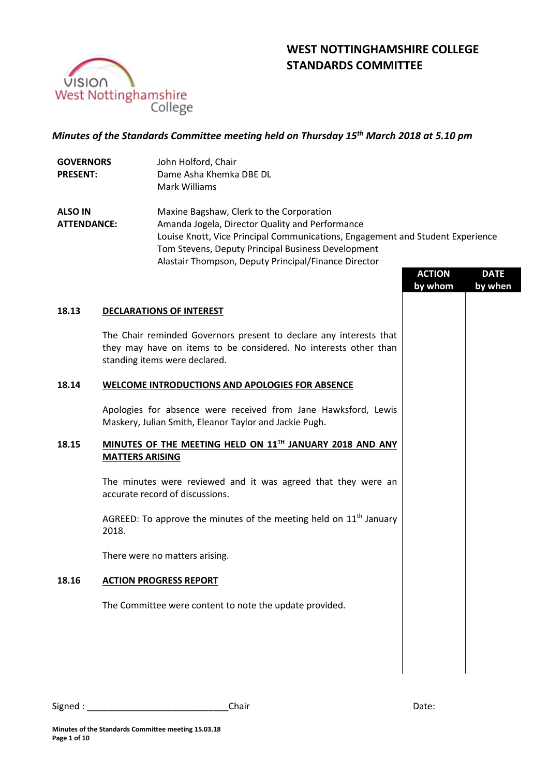



# *Minutes of the Standards Committee meeting held on Thursday 15 th March 2018 at 5.10 pm*

| <b>GOVERNORS</b>                     | John Holford, Chair                                                                                                                                                     |                                                                                                                                                                                                                                                                                                                                                     |         |  |  |
|--------------------------------------|-------------------------------------------------------------------------------------------------------------------------------------------------------------------------|-----------------------------------------------------------------------------------------------------------------------------------------------------------------------------------------------------------------------------------------------------------------------------------------------------------------------------------------------------|---------|--|--|
| <b>PRESENT:</b>                      | Dame Asha Khemka DBE DL                                                                                                                                                 | <b>Mark Williams</b><br>Maxine Bagshaw, Clerk to the Corporation<br>Amanda Jogela, Director Quality and Performance<br>Louise Knott, Vice Principal Communications, Engagement and Student Experience<br>Tom Stevens, Deputy Principal Business Development<br>Alastair Thompson, Deputy Principal/Finance Director<br><b>ACTION</b><br><b>DATE</b> |         |  |  |
| <b>ALSO IN</b><br><b>ATTENDANCE:</b> |                                                                                                                                                                         |                                                                                                                                                                                                                                                                                                                                                     |         |  |  |
|                                      |                                                                                                                                                                         | by whom                                                                                                                                                                                                                                                                                                                                             | by when |  |  |
| 18.13                                | <b>DECLARATIONS OF INTEREST</b>                                                                                                                                         |                                                                                                                                                                                                                                                                                                                                                     |         |  |  |
|                                      | The Chair reminded Governors present to declare any interests that<br>they may have on items to be considered. No interests other than<br>standing items were declared. |                                                                                                                                                                                                                                                                                                                                                     |         |  |  |
| 18.14                                | <b>WELCOME INTRODUCTIONS AND APOLOGIES FOR ABSENCE</b>                                                                                                                  |                                                                                                                                                                                                                                                                                                                                                     |         |  |  |
|                                      | Apologies for absence were received from Jane Hawksford, Lewis<br>Maskery, Julian Smith, Eleanor Taylor and Jackie Pugh.                                                |                                                                                                                                                                                                                                                                                                                                                     |         |  |  |
| 18.15                                | MINUTES OF THE MEETING HELD ON 11TH JANUARY 2018 AND ANY<br><b>MATTERS ARISING</b>                                                                                      |                                                                                                                                                                                                                                                                                                                                                     |         |  |  |
|                                      | The minutes were reviewed and it was agreed that they were an<br>accurate record of discussions.                                                                        |                                                                                                                                                                                                                                                                                                                                                     |         |  |  |
|                                      | AGREED: To approve the minutes of the meeting held on $11th$ January<br>2018.                                                                                           |                                                                                                                                                                                                                                                                                                                                                     |         |  |  |
|                                      | There were no matters arising.                                                                                                                                          |                                                                                                                                                                                                                                                                                                                                                     |         |  |  |
| 18.16                                | <b>ACTION PROGRESS REPORT</b>                                                                                                                                           |                                                                                                                                                                                                                                                                                                                                                     |         |  |  |
|                                      | The Committee were content to note the update provided.                                                                                                                 |                                                                                                                                                                                                                                                                                                                                                     |         |  |  |
|                                      |                                                                                                                                                                         |                                                                                                                                                                                                                                                                                                                                                     |         |  |  |
|                                      |                                                                                                                                                                         |                                                                                                                                                                                                                                                                                                                                                     |         |  |  |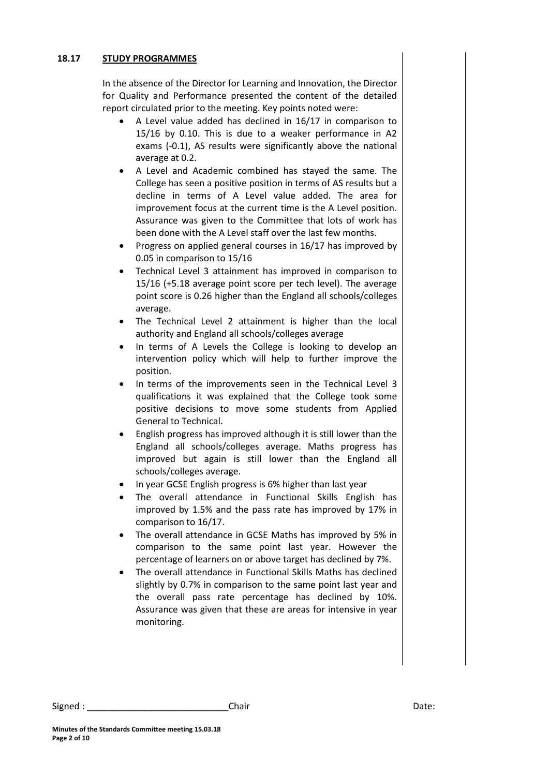### **18.17 STUDY PROGRAMMES**

In the absence of the Director for Learning and Innovation, the Director for Quality and Performance presented the content of the detailed report circulated prior to the meeting. Key points noted were:

- A Level value added has declined in 16/17 in comparison to 15/16 by 0.10. This is due to a weaker performance in A2 exams (-0.1), AS results were significantly above the national average at 0.2.
- A Level and Academic combined has stayed the same. The College has seen a positive position in terms of AS results but a decline in terms of A Level value added. The area for improvement focus at the current time is the A Level position. Assurance was given to the Committee that lots of work has been done with the A Level staff over the last few months.
- Progress on applied general courses in 16/17 has improved by 0.05 in comparison to 15/16
- Technical Level 3 attainment has improved in comparison to 15/16 (+5.18 average point score per tech level). The average point score is 0.26 higher than the England all schools/colleges average.
- The Technical Level 2 attainment is higher than the local authority and England all schools/colleges average
- In terms of A Levels the College is looking to develop an intervention policy which will help to further improve the position.
- In terms of the improvements seen in the Technical Level 3 qualifications it was explained that the College took some positive decisions to move some students from Applied General to Technical.
- English progress has improved although it is still lower than the England all schools/colleges average. Maths progress has improved but again is still lower than the England all schools/colleges average.
- In year GCSE English progress is 6% higher than last year
- The overall attendance in Functional Skills English has improved by 1.5% and the pass rate has improved by 17% in comparison to 16/17.
- The overall attendance in GCSE Maths has improved by 5% in comparison to the same point last year. However the percentage of learners on or above target has declined by 7%.
- The overall attendance in Functional Skills Maths has declined slightly by 0.7% in comparison to the same point last year and the overall pass rate percentage has declined by 10%. Assurance was given that these are areas for intensive in year monitoring.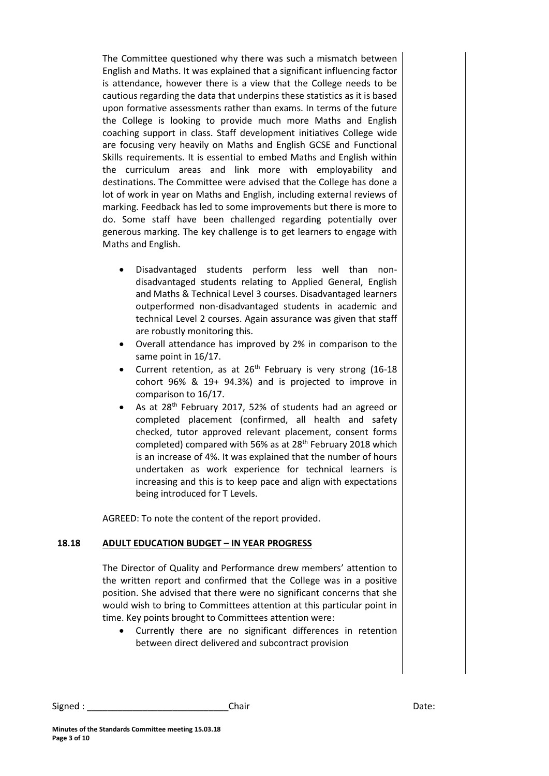The Committee questioned why there was such a mismatch between English and Maths. It was explained that a significant influencing factor is attendance, however there is a view that the College needs to be cautious regarding the data that underpins these statistics as it is based upon formative assessments rather than exams. In terms of the future the College is looking to provide much more Maths and English coaching support in class. Staff development initiatives College wide are focusing very heavily on Maths and English GCSE and Functional Skills requirements. It is essential to embed Maths and English within the curriculum areas and link more with employability and destinations. The Committee were advised that the College has done a lot of work in year on Maths and English, including external reviews of marking. Feedback has led to some improvements but there is more to do. Some staff have been challenged regarding potentially over generous marking. The key challenge is to get learners to engage with Maths and English.

- Disadvantaged students perform less well than nondisadvantaged students relating to Applied General, English and Maths & Technical Level 3 courses. Disadvantaged learners outperformed non-disadvantaged students in academic and technical Level 2 courses. Again assurance was given that staff are robustly monitoring this.
- Overall attendance has improved by 2% in comparison to the same point in 16/17.
- Current retention, as at  $26<sup>th</sup>$  February is very strong (16-18) cohort 96% & 19+ 94.3%) and is projected to improve in comparison to 16/17.
- As at 28th February 2017, 52% of students had an agreed or completed placement (confirmed, all health and safety checked, tutor approved relevant placement, consent forms completed) compared with 56% as at  $28<sup>th</sup>$  February 2018 which is an increase of 4%. It was explained that the number of hours undertaken as work experience for technical learners is increasing and this is to keep pace and align with expectations being introduced for T Levels.

AGREED: To note the content of the report provided.

#### **18.18 ADULT EDUCATION BUDGET – IN YEAR PROGRESS**

The Director of Quality and Performance drew members' attention to the written report and confirmed that the College was in a positive position. She advised that there were no significant concerns that she would wish to bring to Committees attention at this particular point in time. Key points brought to Committees attention were:

 Currently there are no significant differences in retention between direct delivered and subcontract provision

Signed : \_\_\_\_\_\_\_\_\_\_\_\_\_\_\_\_\_\_\_\_\_\_\_\_\_\_\_\_Chair Date: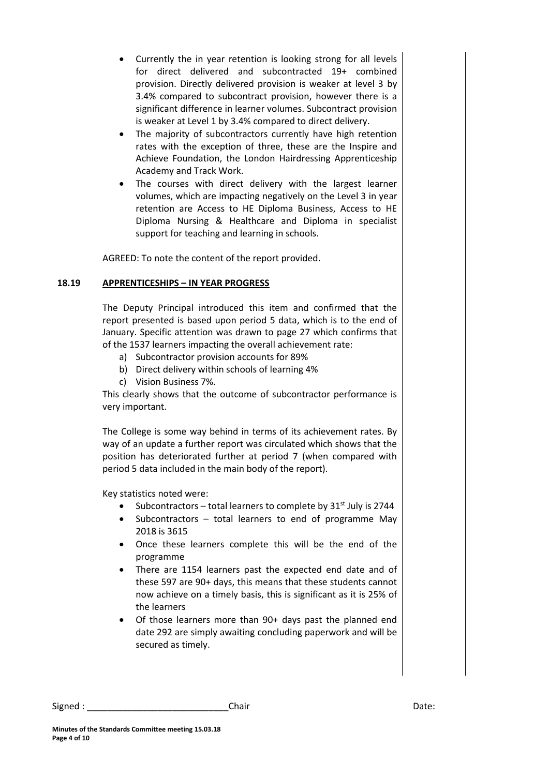- Currently the in year retention is looking strong for all levels for direct delivered and subcontracted 19+ combined provision. Directly delivered provision is weaker at level 3 by 3.4% compared to subcontract provision, however there is a significant difference in learner volumes. Subcontract provision is weaker at Level 1 by 3.4% compared to direct delivery.
- The majority of subcontractors currently have high retention rates with the exception of three, these are the Inspire and Achieve Foundation, the London Hairdressing Apprenticeship Academy and Track Work.
- The courses with direct delivery with the largest learner volumes, which are impacting negatively on the Level 3 in year retention are Access to HE Diploma Business, Access to HE Diploma Nursing & Healthcare and Diploma in specialist support for teaching and learning in schools.

AGREED: To note the content of the report provided.

### **18.19 APPRENTICESHIPS – IN YEAR PROGRESS**

The Deputy Principal introduced this item and confirmed that the report presented is based upon period 5 data, which is to the end of January. Specific attention was drawn to page 27 which confirms that of the 1537 learners impacting the overall achievement rate:

- a) Subcontractor provision accounts for 89%
- b) Direct delivery within schools of learning 4%
- c) Vision Business 7%.

This clearly shows that the outcome of subcontractor performance is very important.

The College is some way behind in terms of its achievement rates. By way of an update a further report was circulated which shows that the position has deteriorated further at period 7 (when compared with period 5 data included in the main body of the report).

Key statistics noted were:

- Subcontractors total learners to complete by  $31<sup>st</sup>$  July is 2744
- Subcontractors total learners to end of programme May 2018 is 3615
- Once these learners complete this will be the end of the programme
- There are 1154 learners past the expected end date and of these 597 are 90+ days, this means that these students cannot now achieve on a timely basis, this is significant as it is 25% of the learners
- Of those learners more than 90+ days past the planned end date 292 are simply awaiting concluding paperwork and will be secured as timely.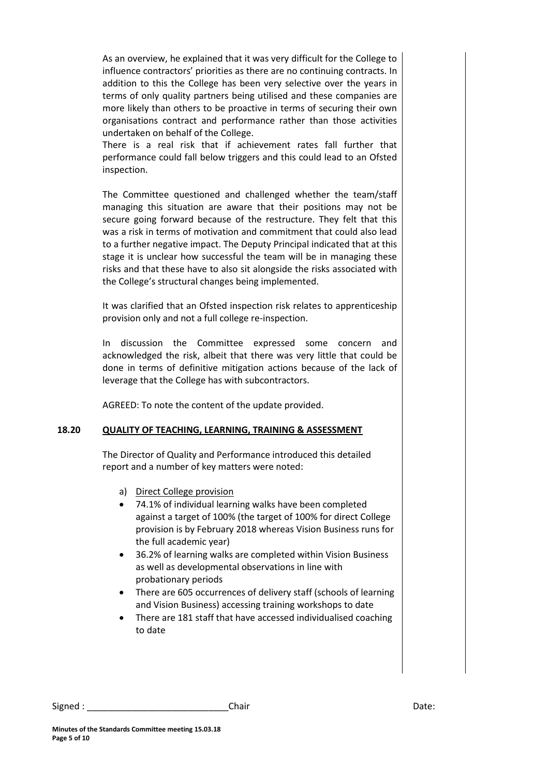As an overview, he explained that it was very difficult for the College to influence contractors' priorities as there are no continuing contracts. In addition to this the College has been very selective over the years in terms of only quality partners being utilised and these companies are more likely than others to be proactive in terms of securing their own organisations contract and performance rather than those activities undertaken on behalf of the College.

There is a real risk that if achievement rates fall further that performance could fall below triggers and this could lead to an Ofsted inspection.

The Committee questioned and challenged whether the team/staff managing this situation are aware that their positions may not be secure going forward because of the restructure. They felt that this was a risk in terms of motivation and commitment that could also lead to a further negative impact. The Deputy Principal indicated that at this stage it is unclear how successful the team will be in managing these risks and that these have to also sit alongside the risks associated with the College's structural changes being implemented.

It was clarified that an Ofsted inspection risk relates to apprenticeship provision only and not a full college re-inspection.

In discussion the Committee expressed some concern and acknowledged the risk, albeit that there was very little that could be done in terms of definitive mitigation actions because of the lack of leverage that the College has with subcontractors.

AGREED: To note the content of the update provided.

# **18.20 QUALITY OF TEACHING, LEARNING, TRAINING & ASSESSMENT**

The Director of Quality and Performance introduced this detailed report and a number of key matters were noted:

- a) Direct College provision
- 74.1% of individual learning walks have been completed against a target of 100% (the target of 100% for direct College provision is by February 2018 whereas Vision Business runs for the full academic year)
- 36.2% of learning walks are completed within Vision Business as well as developmental observations in line with probationary periods
- There are 605 occurrences of delivery staff (schools of learning and Vision Business) accessing training workshops to date
- There are 181 staff that have accessed individualised coaching to date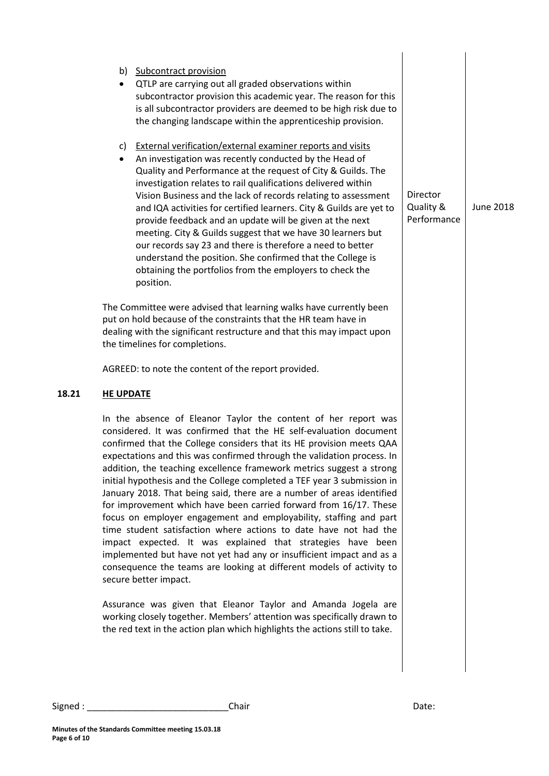|       | b) Subcontract provision<br>QTLP are carrying out all graded observations within<br>subcontractor provision this academic year. The reason for this<br>is all subcontractor providers are deemed to be high risk due to<br>the changing landscape within the apprenticeship provision.                                                                                                                                                                                                                                                                                                                                                                                                                                                                   |                                    |
|-------|----------------------------------------------------------------------------------------------------------------------------------------------------------------------------------------------------------------------------------------------------------------------------------------------------------------------------------------------------------------------------------------------------------------------------------------------------------------------------------------------------------------------------------------------------------------------------------------------------------------------------------------------------------------------------------------------------------------------------------------------------------|------------------------------------|
|       | <b>External verification/external examiner reports and visits</b><br>C)<br>An investigation was recently conducted by the Head of<br>$\bullet$<br>Quality and Performance at the request of City & Guilds. The<br>investigation relates to rail qualifications delivered within<br>Vision Business and the lack of records relating to assessment<br>and IQA activities for certified learners. City & Guilds are yet to<br>provide feedback and an update will be given at the next<br>meeting. City & Guilds suggest that we have 30 learners but<br>our records say 23 and there is therefore a need to better<br>understand the position. She confirmed that the College is<br>obtaining the portfolios from the employers to check the<br>position. | Director<br>Quality &<br>Performar |
|       | The Committee were advised that learning walks have currently been<br>put on hold because of the constraints that the HR team have in<br>dealing with the significant restructure and that this may impact upon<br>the timelines for completions.                                                                                                                                                                                                                                                                                                                                                                                                                                                                                                        |                                    |
|       | AGREED: to note the content of the report provided.                                                                                                                                                                                                                                                                                                                                                                                                                                                                                                                                                                                                                                                                                                      |                                    |
| 18.21 | <b>HE UPDATE</b>                                                                                                                                                                                                                                                                                                                                                                                                                                                                                                                                                                                                                                                                                                                                         |                                    |
|       | In the absence of Eleanor Taylor the content of her report was<br>considered. It was confirmed that the HE self-evaluation document<br>confirmed that the College considers that its HE provision meets QAA<br>expectations and this was confirmed through the validation process. In<br>addition, the teaching excellence framework metrics suggest a strong<br>initial hypothesis and the College completed a TEF year 3 submission in<br>January 2018. That being said, there are a number of areas identified<br>for improvement which have been carried forward from 16/17. These                                                                                                                                                                   |                                    |

nce June 2018

Assurance was given that Eleanor Taylor and Amanda Jogela are working closely together. Members' attention was specifically drawn to the red text in the action plan which highlights the actions still to take.

focus on employer engagement and employability, staffing and part time student satisfaction where actions to date have not had the impact expected. It was explained that strategies have been implemented but have not yet had any or insufficient impact and as a consequence the teams are looking at different models of activity to

secure better impact.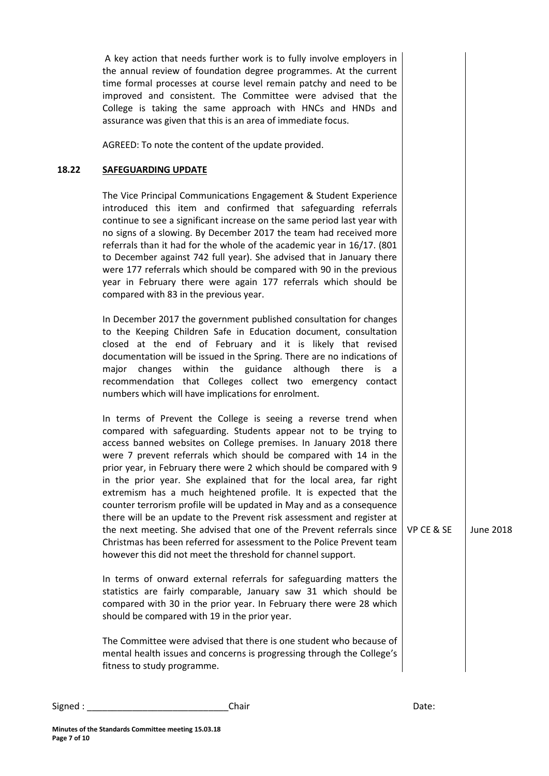A key action that needs further work is to fully involve employers in the annual review of foundation degree programmes. At the current time formal processes at course level remain patchy and need to be improved and consistent. The Committee were advised that the College is taking the same approach with HNCs and HNDs and assurance was given that this is an area of immediate focus.

AGREED: To note the content of the update provided.

### **18.22 SAFEGUARDING UPDATE**

The Vice Principal Communications Engagement & Student Experience introduced this item and confirmed that safeguarding referrals continue to see a significant increase on the same period last year with no signs of a slowing. By December 2017 the team had received more referrals than it had for the whole of the academic year in 16/17. (801 to December against 742 full year). She advised that in January there were 177 referrals which should be compared with 90 in the previous year in February there were again 177 referrals which should be compared with 83 in the previous year.

In December 2017 the government published consultation for changes to the Keeping Children Safe in Education document, consultation closed at the end of February and it is likely that revised documentation will be issued in the Spring. There are no indications of major changes within the guidance although there is a recommendation that Colleges collect two emergency contact numbers which will have implications for enrolment.

In terms of Prevent the College is seeing a reverse trend when compared with safeguarding. Students appear not to be trying to access banned websites on College premises. In January 2018 there were 7 prevent referrals which should be compared with 14 in the prior year, in February there were 2 which should be compared with 9 in the prior year. She explained that for the local area, far right extremism has a much heightened profile. It is expected that the counter terrorism profile will be updated in May and as a consequence there will be an update to the Prevent risk assessment and register at the next meeting. She advised that one of the Prevent referrals since Christmas has been referred for assessment to the Police Prevent team however this did not meet the threshold for channel support.

In terms of onward external referrals for safeguarding matters the statistics are fairly comparable, January saw 31 which should be compared with 30 in the prior year. In February there were 28 which should be compared with 19 in the prior year.

The Committee were advised that there is one student who because of mental health issues and concerns is progressing through the College's fitness to study programme.

VP CE & SE June 2018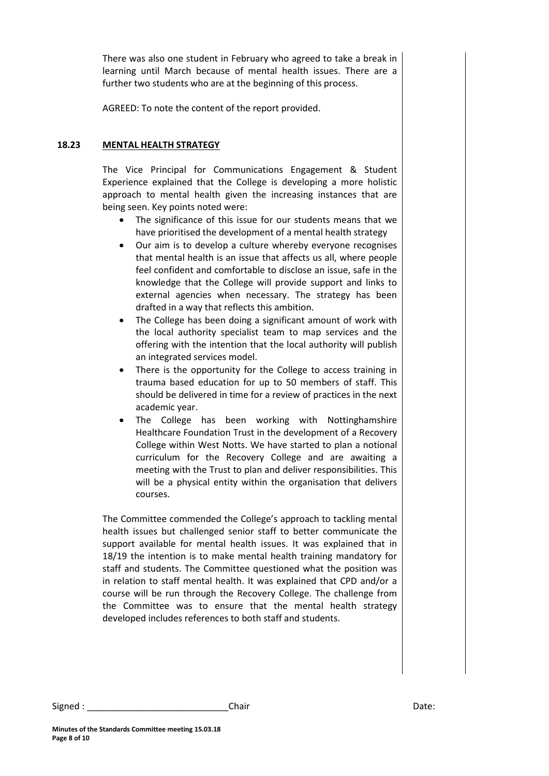There was also one student in February who agreed to take a break in learning until March because of mental health issues. There are a further two students who are at the beginning of this process.

AGREED: To note the content of the report provided.

### **18.23 MENTAL HEALTH STRATEGY**

The Vice Principal for Communications Engagement & Student Experience explained that the College is developing a more holistic approach to mental health given the increasing instances that are being seen. Key points noted were:

- The significance of this issue for our students means that we have prioritised the development of a mental health strategy
- Our aim is to develop a culture whereby everyone recognises that mental health is an issue that affects us all, where people feel confident and comfortable to disclose an issue, safe in the knowledge that the College will provide support and links to external agencies when necessary. The strategy has been drafted in a way that reflects this ambition.
- The College has been doing a significant amount of work with the local authority specialist team to map services and the offering with the intention that the local authority will publish an integrated services model.
- There is the opportunity for the College to access training in trauma based education for up to 50 members of staff. This should be delivered in time for a review of practices in the next academic year.
- The College has been working with Nottinghamshire Healthcare Foundation Trust in the development of a Recovery College within West Notts. We have started to plan a notional curriculum for the Recovery College and are awaiting a meeting with the Trust to plan and deliver responsibilities. This will be a physical entity within the organisation that delivers courses.

The Committee commended the College's approach to tackling mental health issues but challenged senior staff to better communicate the support available for mental health issues. It was explained that in 18/19 the intention is to make mental health training mandatory for staff and students. The Committee questioned what the position was in relation to staff mental health. It was explained that CPD and/or a course will be run through the Recovery College. The challenge from the Committee was to ensure that the mental health strategy developed includes references to both staff and students.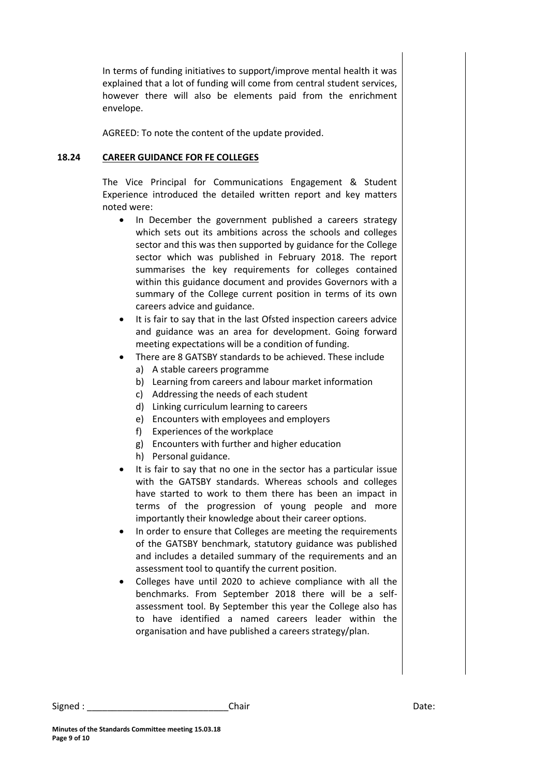In terms of funding initiatives to support/improve mental health it was explained that a lot of funding will come from central student services, however there will also be elements paid from the enrichment envelope.

AGREED: To note the content of the update provided.

#### **18.24 CAREER GUIDANCE FOR FE COLLEGES**

The Vice Principal for Communications Engagement & Student Experience introduced the detailed written report and key matters noted were:

- In December the government published a careers strategy which sets out its ambitions across the schools and colleges sector and this was then supported by guidance for the College sector which was published in February 2018. The report summarises the key requirements for colleges contained within this guidance document and provides Governors with a summary of the College current position in terms of its own careers advice and guidance.
- It is fair to say that in the last Ofsted inspection careers advice and guidance was an area for development. Going forward meeting expectations will be a condition of funding.
- There are 8 GATSBY standards to be achieved. These include
	- a) A stable careers programme
	- b) Learning from careers and labour market information
	- c) Addressing the needs of each student
	- d) Linking curriculum learning to careers
	- e) Encounters with employees and employers
	- f) Experiences of the workplace
	- g) Encounters with further and higher education
	- h) Personal guidance.
- It is fair to say that no one in the sector has a particular issue with the GATSBY standards. Whereas schools and colleges have started to work to them there has been an impact in terms of the progression of young people and more importantly their knowledge about their career options.
- In order to ensure that Colleges are meeting the requirements of the GATSBY benchmark, statutory guidance was published and includes a detailed summary of the requirements and an assessment tool to quantify the current position.
- Colleges have until 2020 to achieve compliance with all the benchmarks. From September 2018 there will be a selfassessment tool. By September this year the College also has to have identified a named careers leader within the organisation and have published a careers strategy/plan.